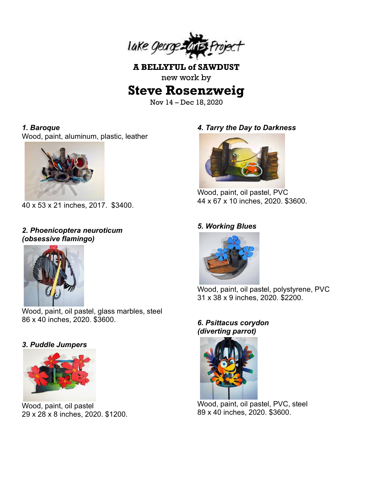

**A BELLYFUL of SAWDUST** new work by

# **Steve Rosenzweig**

Nov 14 – Dec 18, 2020

#### *1. Baroque*

Wood, paint, aluminum, plastic, leather



40 x 53 x 21 inches, 2017. \$3400.

## *2. Phoenicoptera neuroticum (obsessive flamingo)*



Wood, paint, oil pastel, glass marbles, steel 86 x 40 inches, 2020. \$3600.

## *3. Puddle Jumpers*



Wood, paint, oil pastel 29 x 28 x 8 inches, 2020. \$1200.

## *4. Tarry the Day to Darkness*



Wood, paint, oil pastel, PVC 44 x 67 x 10 inches, 2020. \$3600.

#### *5. Working Blues*



Wood, paint, oil pastel, polystyrene, PVC 31 x 38 x 9 inches, 2020. \$2200.

#### *6. Psittacus corydon (diverting parrot)*



Wood, paint, oil pastel, PVC, steel 89 x 40 inches, 2020. \$3600.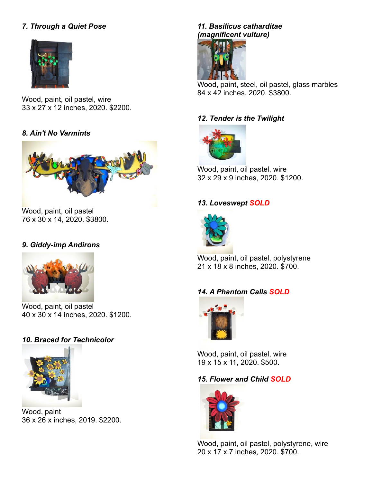# *7. Through a Quiet Pose*



Wood, paint, oil pastel, wire 33 x 27 x 12 inches, 2020. \$2200.

#### *8. Ain't No Varmints*



Wood, paint, oil pastel 76 x 30 x 14, 2020. \$3800.

#### *9. Giddy-imp Andirons*



Wood, paint, oil pastel 40 x 30 x 14 inches, 2020. \$1200.

#### *10. Braced for Technicolor*



Wood, paint 36 x 26 x inches, 2019. \$2200.

# *11. Basilicus catharditae (magnificent vulture)*



Wood, paint, steel, oil pastel, glass marbles 84 x 42 inches, 2020. \$3800.

#### *12. Tender is the Twilight*



Wood, paint, oil pastel, wire 32 x 29 x 9 inches, 2020. \$1200.

#### *13. Loveswept SOLD*



Wood, paint, oil pastel, polystyrene 21 x 18 x 8 inches, 2020. \$700.

## *14. A Phantom Calls SOLD*



Wood, paint, oil pastel, wire 19 x 15 x 11, 2020. \$500.

#### *15. Flower and Child SOLD*



Wood, paint, oil pastel, polystyrene, wire 20 x 17 x 7 inches, 2020. \$700.